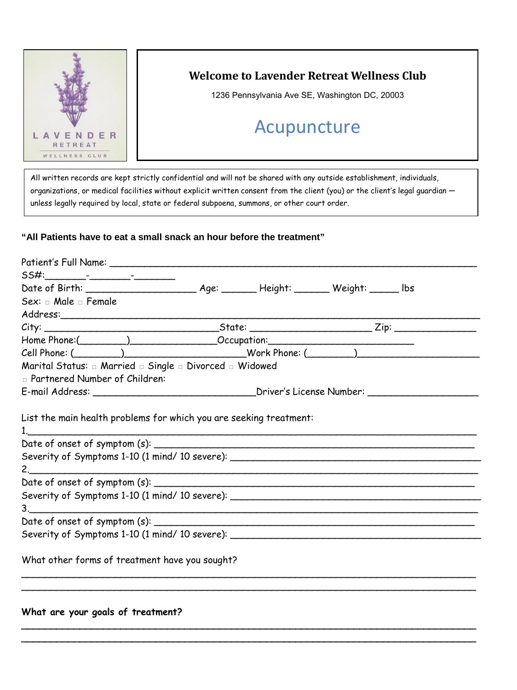

# **Welcome to Lavender Retreat Wellness Club**

1236 Pennsylvania Ave SE, Washington DC, 20003

# Acupuncture

All written records are kept strictly confidential and will not be shared with any outside establishment, individuals, organizations, or medical facilities without explicit written consent from the client (you) or the client's legal quardian unless legally required by local, state or federal subpoena, summons, or other court order.

#### **"All Patients have to eat a small snack an hour before the treatment"**

| Sex: a Male a Female                                                                                         |  |                                                                                  |  |  |
|--------------------------------------------------------------------------------------------------------------|--|----------------------------------------------------------------------------------|--|--|
|                                                                                                              |  |                                                                                  |  |  |
|                                                                                                              |  |                                                                                  |  |  |
|                                                                                                              |  | Home Phone:(___________________________________Occupation:______________________ |  |  |
|                                                                                                              |  |                                                                                  |  |  |
| Marital Status: $\Box$ Married $\Box$ Single $\Box$ Divorced $\Box$ Widowed                                  |  |                                                                                  |  |  |
| n Partnered Number of Children:                                                                              |  |                                                                                  |  |  |
| E-mail Address: _________________________________Driver's License Number: _______                            |  |                                                                                  |  |  |
| 1. <u>_____________</u><br>Severity of Symptoms 1-10 (1 mind/ 10 severe): __________________________________ |  |                                                                                  |  |  |
|                                                                                                              |  |                                                                                  |  |  |
| 3.                                                                                                           |  |                                                                                  |  |  |
|                                                                                                              |  |                                                                                  |  |  |
| Severity of Symptoms 1-10 (1 mind/ 10 severe): __________________________________                            |  |                                                                                  |  |  |
| What other forms of treatment have you sought?                                                               |  |                                                                                  |  |  |
|                                                                                                              |  |                                                                                  |  |  |

**\_\_\_\_\_\_\_\_\_\_\_\_\_\_\_\_\_\_\_\_\_\_\_\_\_\_\_\_\_\_\_\_\_\_\_\_\_\_\_\_\_\_\_\_\_\_\_\_\_\_\_\_\_\_\_\_\_\_\_\_\_\_\_\_\_\_\_\_\_\_\_\_\_\_\_\_\_\_ \_\_\_\_\_\_\_\_\_\_\_\_\_\_\_\_\_\_\_\_\_\_\_\_\_\_\_\_\_\_\_\_\_\_\_\_\_\_\_\_\_\_\_\_\_\_\_\_\_\_\_\_\_\_\_\_\_\_\_\_\_\_\_\_\_\_\_\_\_\_\_\_\_\_\_\_\_\_**

#### **What are your goals of treatment?**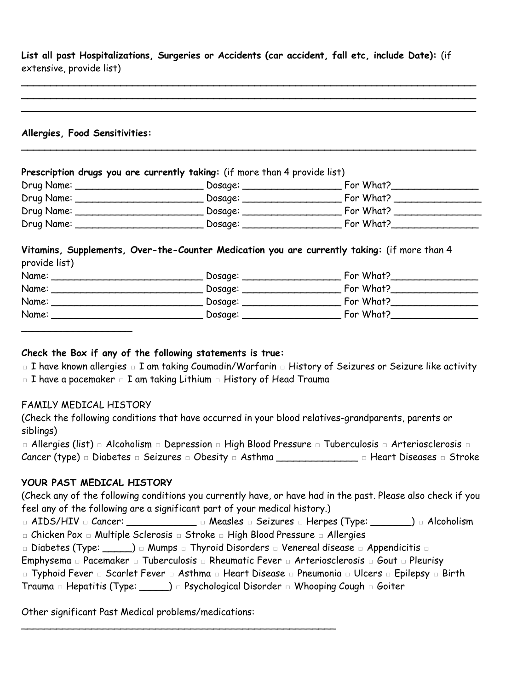**List all past Hospitalizations, Surgeries or Accidents (car accident, fall etc, include Date):** (if extensive, provide list)

**\_\_\_\_\_\_\_\_\_\_\_\_\_\_\_\_\_\_\_\_\_\_\_\_\_\_\_\_\_\_\_\_\_\_\_\_\_\_\_\_\_\_\_\_\_\_\_\_\_\_\_\_\_\_\_\_\_\_\_\_\_\_\_\_\_\_\_\_\_\_\_\_\_\_\_\_\_\_ \_\_\_\_\_\_\_\_\_\_\_\_\_\_\_\_\_\_\_\_\_\_\_\_\_\_\_\_\_\_\_\_\_\_\_\_\_\_\_\_\_\_\_\_\_\_\_\_\_\_\_\_\_\_\_\_\_\_\_\_\_\_\_\_\_\_\_\_\_\_\_\_\_\_\_\_\_\_ \_\_\_\_\_\_\_\_\_\_\_\_\_\_\_\_\_\_\_\_\_\_\_\_\_\_\_\_\_\_\_\_\_\_\_\_\_\_\_\_\_\_\_\_\_\_\_\_\_\_\_\_\_\_\_\_\_\_\_\_\_\_\_\_\_\_\_\_\_\_\_\_\_\_\_\_\_\_** 

#### **Allergies, Food Sensitivities:**

| Prescription drugs you are currently taking: (if more than 4 provide list) |         |           |  |
|----------------------------------------------------------------------------|---------|-----------|--|
| Drug Name: _                                                               | Dosage: | For What? |  |
| Drug Name:                                                                 | Dosage: | For What? |  |
| Drug Name:                                                                 | Dosage: | For What? |  |
| Drug Name:                                                                 | Dosage: | For What? |  |

**\_\_\_\_\_\_\_\_\_\_\_\_\_\_\_\_\_\_\_\_\_\_\_\_\_\_\_\_\_\_\_\_\_\_\_\_\_\_\_\_\_\_\_\_\_\_\_\_\_\_\_\_\_\_\_\_\_\_\_\_\_\_\_\_\_\_\_\_\_\_\_\_\_\_\_\_\_\_** 

#### **Vitamins, Supplements, Over-the-Counter Medication you are currently taking:** (if more than 4 provide list)

| Name: | Dosage: | For What? |
|-------|---------|-----------|
| Name: | Dosage: | For What? |
| Name: | Dosage: | For What? |
| Name: | Dosage: | For What? |
|       |         |           |

#### **Check the Box if any of the following statements is true:**

□ I have known allergies □ I am taking Coumadin/Warfarin □ History of Seizures or Seizure like activity □ I have a pacemaker □ I am taking Lithium □ History of Head Trauma

#### FAMILY MEDICAL HISTORY

(Check the following conditions that have occurred in your blood relatives-grandparents, parents or siblings)

□ Allergies (list) □ Alcoholism □ Depression □ High Blood Pressure □ Tuberculosis □ Arteriosclerosis □ Cancer (type) □ Diabetes □ Seizures □ Obesity □ Asthma \_\_\_\_\_\_\_\_\_\_\_\_\_\_ □ Heart Diseases □ Stroke

## **YOUR PAST MEDICAL HISTORY**

(Check any of the following conditions you currently have, or have had in the past. Please also check if you feel any of the following are a significant part of your medical history.)

□ AIDS/HIV □ Cancer: \_\_\_\_\_\_\_\_\_\_\_\_\_ □ Measles □ Seizures □ Herpes (Type: \_\_\_\_\_\_) □ Alcoholism □ Chicken Pox □ Multiple Sclerosis □ Stroke □ High Blood Pressure □ Allergies

□ Diabetes (Type: \_\_\_\_\_) □ Mumps □ Thyroid Disorders □ Venereal disease □ Appendicitis □

Emphysema □ Pacemaker □ Tuberculosis □ Rheumatic Fever □ Arteriosclerosis □ Gout □ Pleurisy

□ Typhoid Fever □ Scarlet Fever □ Asthma □ Heart Disease □ Pneumonia □ Ulcers □ Epilepsy □ Birth

Trauma □ Hepatitis (Type: \_\_\_\_\_) □ Psychological Disorder □ Whooping Cough □ Goiter

\_\_\_\_\_\_\_\_\_\_\_\_\_\_\_\_\_\_\_\_\_\_\_\_\_\_\_\_\_\_\_\_\_\_\_\_\_\_\_\_\_\_\_\_\_\_\_\_\_\_\_\_\_\_

Other significant Past Medical problems/medications: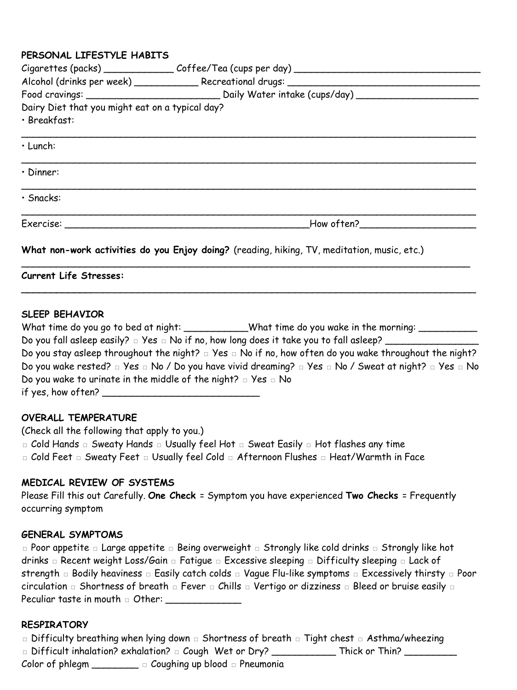#### **PERSONAL LIFESTYLE HABITS**

| Dairy Diet that you might eat on a typical day? |                                                                                             |  |  |  |
|-------------------------------------------------|---------------------------------------------------------------------------------------------|--|--|--|
| · Breakfast:                                    |                                                                                             |  |  |  |
| · Lunch:                                        |                                                                                             |  |  |  |
| $\cdot$ Dinner:                                 |                                                                                             |  |  |  |
| · Snacks:                                       |                                                                                             |  |  |  |
|                                                 | How often?                                                                                  |  |  |  |
|                                                 | What non-work activities do you Enjoy doing? (reading, hiking, TV, meditation, music, etc.) |  |  |  |
| <b>Current Life Stresses:</b>                   |                                                                                             |  |  |  |

#### **SLEEP BEHAVIOR**

|                                                                                                         | What time do you go to bed at night: _____________What time do you wake in the morning: ___________                                |
|---------------------------------------------------------------------------------------------------------|------------------------------------------------------------------------------------------------------------------------------------|
| Do you fall asleep easily? $\Box$ Yes $\Box$ No if no, how long does it take you to fall asleep? $\Box$ |                                                                                                                                    |
|                                                                                                         | Do you stay asleep throughout the night? $\Box$ Yes $\Box$ No if no, how often do you wake throughout the night?                   |
|                                                                                                         | Do you wake rested? $\Box$ Yes $\Box$ No / Do you have vivid dreaming? $\Box$ Yes $\Box$ No / Sweat at night? $\Box$ Yes $\Box$ No |
| Do you wake to urinate in the middle of the night? $\Box$ Yes $\Box$ No                                 |                                                                                                                                    |
| if yes, how often?                                                                                      |                                                                                                                                    |

#### **OVERALL TEMPERATURE**

(Check all the following that apply to you.) □ Cold Hands □ Sweaty Hands □ Usually feel Hot □ Sweat Easily □ Hot flashes any time □ Cold Feet □ Sweaty Feet □ Usually feel Cold □ Afternoon Flushes □ Heat/Warmth in Face

#### **MEDICAL REVIEW OF SYSTEMS**

Please Fill this out Carefully. **One Check** = Symptom you have experienced **Two Checks** = Frequently occurring symptom

#### **GENERAL SYMPTOMS**

□ Poor appetite □ Large appetite □ Being overweight □ Strongly like cold drinks □ Strongly like hot drinks □ Recent weight Loss/Gain □ Fatigue □ Excessive sleeping □ Difficulty sleeping □ Lack of strength □ Bodily heaviness □ Easily catch colds □ Vague Flu-like symptoms □ Excessively thirsty □ Poor circulation □ Shortness of breath □ Fever □ Chills □ Vertigo or dizziness □ Bleed or bruise easily □ Peculiar taste in mouth □ Other: \_\_\_\_\_\_\_\_\_\_\_\_\_

#### **RESPIRATORY**

□ Difficulty breathing when lying down □ Shortness of breath □ Tight chest □ Asthma/wheezing □ Difficult inhalation? exhalation? □ Cough Wet or Dry? \_\_\_\_\_\_\_\_\_\_\_\_\_\_\_Thick or Thin? \_\_\_\_\_\_\_\_\_\_\_\_ Color of phlegm  $\Box$   $\Box$  Coughing up blood  $\Box$  Pneumonia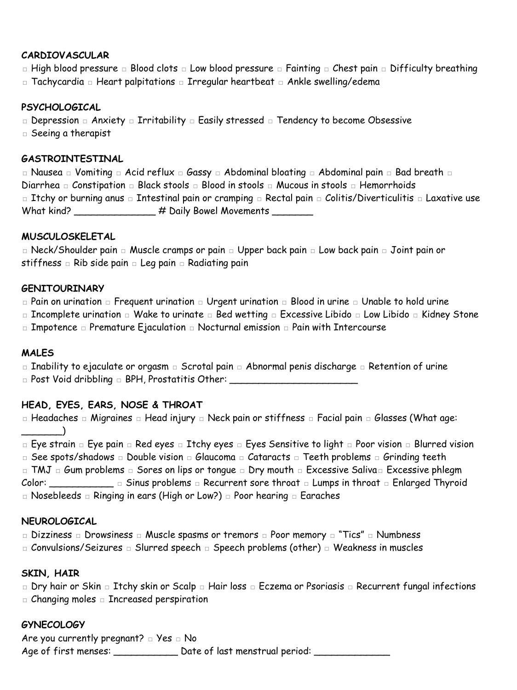## **CARDIOVASCULAR**

□ High blood pressure □ Blood clots □ Low blood pressure □ Fainting □ Chest pain □ Difficulty breathing □ Tachycardia □ Heart palpitations □ Irregular heartbeat □ Ankle swelling/edema

## **PSYCHOLOGICAL**

□ Depression □ Anxiety □ Irritability □ Easily stressed □ Tendency to become Obsessive

□ Seeing a therapist

## **GASTROINTESTINAL**

□ Nausea □ Vomiting □ Acid reflux □ Gassy □ Abdominal bloating □ Abdominal pain □ Bad breath □ Diarrhea □ Constipation □ Black stools □ Blood in stools □ Mucous in stools □ Hemorrhoids □ Itchy or burning anus □ Intestinal pain or cramping □ Rectal pain □ Colitis/Diverticulitis □ Laxative use What kind? \_\_\_\_\_\_\_\_\_\_\_\_\_\_\_ # Daily Bowel Movements \_\_\_\_\_\_\_

## **MUSCULOSKELETAL**

□ Neck/Shoulder pain □ Muscle cramps or pain □ Upper back pain □ Low back pain □ Joint pain or stiffness □ Rib side pain □ Leg pain □ Radiating pain

## **GENITOURINARY**

□ Pain on urination □ Frequent urination □ Urgent urination □ Blood in urine □ Unable to hold urine

□ Incomplete urination □ Wake to urinate □ Bed wetting □ Excessive Libido □ Low Libido □ Kidney Stone

□ Impotence □ Premature Ejaculation □ Nocturnal emission □ Pain with Intercourse

## **MALES**

□ Inability to ejaculate or orgasm □ Scrotal pain □ Abnormal penis discharge □ Retention of urine □ Post Void dribbling □ BPH, Prostatitis Other: \_\_\_\_\_\_\_\_\_\_\_\_\_\_\_\_\_\_\_\_\_\_\_\_\_\_\_\_\_\_\_\_

## **HEAD, EYES, EARS, NOSE & THROAT**

□ Headaches □ Migraines □ Head injury □ Neck pain or stiffness □ Facial pain □ Glasses (What age: \_\_\_\_\_\_\_)

□ Eye strain □ Eye pain □ Red eyes □ Itchy eyes □ Eyes Sensitive to light □ Poor vision □ Blurred vision

□ See spots/shadows □ Double vision □ Glaucoma □ Cataracts □ Teeth problems □ Grinding teeth

□ TMJ □ Gum problems □ Sores on lips or tongue □ Dry mouth □ Excessive Saliva□ Excessive phlegm Color: \_\_\_\_\_\_\_\_\_\_\_ □ Sinus problems □ Recurrent sore throat □ Lumps in throat □ Enlarged Thyroid

□ Nosebleeds □ Ringing in ears (High or Low?) □ Poor hearing □ Earaches

## **NEUROLOGICAL**

□ Dizziness □ Drowsiness □ Muscle spasms or tremors □ Poor memory □ "Tics" □ Numbness

□ Convulsions/Seizures □ Slurred speech □ Speech problems (other) □ Weakness in muscles

## **SKIN, HAIR**

□ Dry hair or Skin □ Itchy skin or Scalp □ Hair loss □ Eczema or Psoriasis □ Recurrent fungal infections

□ Changing moles □ Increased perspiration

## **GYNECOLOGY**

Are you currently pregnant?  $□$  Yes  $□$  No Age of first menses: \_\_\_\_\_\_\_\_\_\_\_\_\_ Date of last menstrual period: \_\_\_\_\_\_\_\_\_\_\_\_\_\_